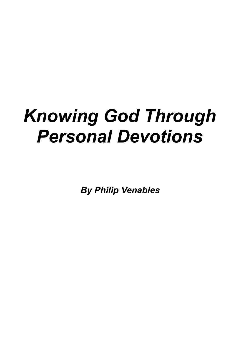# *Knowing God Through Personal Devotions*

*By Philip Venables*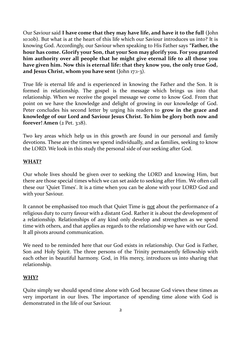Our Saviour said **I have come that they may have life, and have it to the full** (John 10:10b). But what is at the heart of this life which our Saviour introduces us into? It is knowing God. Accordingly, our Saviour when speaking to His Father says **"Father, the hour has come. Glorify your Son, that your Son may glorify you. For you granted him authority over all people that he might give eternal life to all those you have given him. Now this is eternal life: that they know you, the only true God, and Jesus Christ, whom you have sent** (John 17:1-3).

True life is eternal life and is experienced in knowing the Father and the Son. It is formed in relationship. The gospel is the message which brings us into that relationship. When we receive the gospel message we come to know God. From that point on we have the knowledge and delight of growing in our knowledge of God. Peter concludes his second letter by urging his readers to **grow in the grace and knowledge of our Lord and Saviour Jesus Christ. To him be glory both now and forever! Amen** (2 Pet. 3:18).

Two key areas which help us in this growth are found in our personal and family devotions. These are the times we spend individually, and as families, seeking to know the LORD. We look in this study the personal side of our seeking after God.

## **WHAT?**

Our whole lives should be given over to seeking the LORD and knowing Him, but there are those special times which we can set aside to seeking after Him. We often call these our 'Quiet Times'. It is a time when you can be alone with your LORD God and with your Saviour.

It cannot be emphasised too much that Quiet Time is not about the performance of a religious duty to curry favour with a distant God. Rather it is about the development of a relationship. Relationships of any kind only develop and strengthen as we spend time with others, and that applies as regards to the relationship we have with our God. It all pivots around communication.

We need to be reminded here that our God exists in relationship. Our God is Father, Son and Holy Spirit. The three persons of the Trinity permanently fellowship with each other in beautiful harmony. God, in His mercy, introduces us into sharing that relationship.

#### **WHY?**

Quite simply we should spend time alone with God because God views these times as very important in our lives. The importance of spending time alone with God is demonstrated in the life of our Saviour.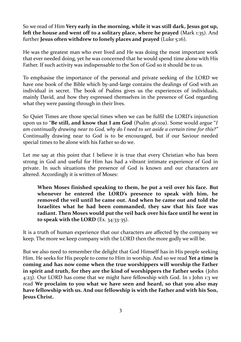So we read of Him **Very early in the morning, while it was still dark, Jesus got up, left the house and went off to a solitary place, where he prayed** (Mark 1:35). And further **Jesus often withdrew to lonely places and prayed** (Luke 5:16).

He was the greatest man who ever lived and He was doing the most important work that ever needed doing, yet he was concerned that he would spend time alone with His Father. If such activity was indispensable to the Son of God so it should be to us.

To emphasise the importance of the personal and private seeking of the LORD we have one book of the Bible which by-and-large contains the dealings of God with an individual in secret. The book of Psalms gives us the experiences of individuals, mainly David, and how they expressed themselves in the presence of God regarding what they were passing through in their lives.

So Quiet Times are those special times when we can be fulfil the LORD's injunction upon us to "**Be still, and know that I am God** (Psalm 46:10a). Some would argue "*I am continually drawing near to God, why do I need to set aside a certain time for this?"* Continually drawing near to God is to be encouraged, but if our Saviour needed special times to be alone with his Father so do we.

Let me say at this point that I believe it is true that every Christian who has been strong in God and useful for Him has had a vibrant intimate experience of God in private. In such situations the presence of God is known and our characters are altered. Accordingly it is written of Moses:

**When Moses finished speaking to them, he put a veil over his face. But whenever he entered the LORD's presence to speak with him, he removed the veil until he came out. And when he came out and told the Israelites what he had been commanded, they saw that his face was radiant. Then Moses would put the veil back over his face until he went in to speak with the LORD** (Ex. 34:33-35).

It is a truth of human experience that our characters are affected by the company we keep. The more we keep company with the LORD then the more godly we will be.

But we also need to remember the delight that God Himself has in His people seeking Him. He seeks for His people to come to Him in worship. And so we read **Yet a time is coming and has now come when the true worshippers will worship the Father in spirit and truth, for they are the kind of worshippers the Father seeks** (John 4:23). Our LORD has come that we might have fellowship with God. In 1 John 1:3 we read **We proclaim to you what we have seen and heard, so that you also may have fellowship with us. And our fellowship is with the Father and with his Son, Jesus Christ.**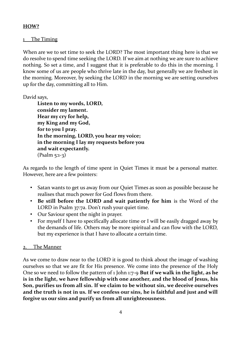# **HOW?**

# The Timing

When are we to set time to seek the LORD? The most important thing here is that we do resolve to spend time seeking the LORD. If we aim at nothing we are sure to achieve nothing. So set a time, and I suggest that it is preferable to do this in the morning. I know some of us are people who thrive late in the day, but generally we are freshest in the morning. Moreover, by seeking the LORD in the morning we are setting ourselves up for the day, committing all to Him.

David says,

**Listen to my words, LORD, consider my lament. Hear my cry for help, my King and my God, for to you I pray. In the morning, LORD, you hear my voice; in the morning I lay my requests before you and wait expectantly.** (Psalm 5:1-3)

As regards to the length of time spent in Quiet Times it must be a personal matter. However, here are a few pointers:

- Satan wants to get us away from our Quiet Times as soon as possible because he realises that much power for God flows from there.
- **Be still before the LORD and wait patiently for him** is the Word of the LORD in Psalm 37:7a. Don't rush your quiet time.
- Our Saviour spent the night in prayer.
- For myself I have to specifically allocate time or I will be easily dragged away by the demands of life. Others may be more spiritual and can flow with the LORD, but my experience is that I have to allocate a certain time.

#### 2. The Manner

As we come to draw near to the LORD it is good to think about the image of washing ourselves so that we are fit for His presence. We come into the presence of the Holy One so we need to follow the pattern of 1 John 1:7-9 **But if we walk in the light, as he is in the light, we have fellowship with one another, and the blood of Jesus, his Son, purifies us from all sin. If we claim to be without sin, we deceive ourselves and the truth is not in us. If we confess our sins, he is faithful and just and will forgive us our sins and purify us from all unrighteousness.**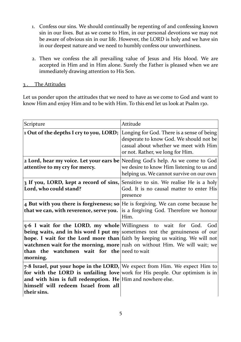- 1. Confess our sins. We should continually be repenting of and confessing known sin in our lives. But as we come to Him, in our personal devotions we may not be aware of obvious sin in our life. However, the LORD is holy and we have sin in our deepest nature and we need to humbly confess our unworthiness.
- 2. Then we confess the all prevailing value of Jesus and His blood. We are accepted in Him and in Him alone. Surely the Father is pleased when we are immediately drawing attention to His Son.

# 3 . The Attitudes

Let us ponder upon the attitudes that we need to have as we come to God and want to know Him and enjoy Him and to be with Him. To this end let us look at Psalm 130.

| Scripture                                                                                                                 | Attitude                                                                                                                                                                                                                                           |
|---------------------------------------------------------------------------------------------------------------------------|----------------------------------------------------------------------------------------------------------------------------------------------------------------------------------------------------------------------------------------------------|
| 1 Out of the depths I cry to you, LORD;                                                                                   | Longing for God. There is a sense of being<br>desperate to know God. We should not be<br>casual about whether we meet with Him<br>or not. Rather, we long for Him.                                                                                 |
| attentive to my cry for mercy.                                                                                            | <b>2 Lord, hear my voice. Let your ears be</b> Needing God's help. As we come to God<br>we desire to know Him listening to us and<br>helping us. We cannot survive on our own                                                                      |
| 3 If you, LORD, kept a record of sins,<br>Lord, who could stand?                                                          | Sensitive to sin. We realise He is a holy<br>God. It is no causal matter to enter His<br>presence                                                                                                                                                  |
| that we can, with reverence, serve you.                                                                                   | 4 But with you there is forgiveness; so $ $ He is forgiving. We can come because he<br>is a forgiving God. Therefore we honour<br>Him.                                                                                                             |
| 5-6 I wait for the LORD, my whole Willingness to wait for God.<br>than the watchmen wait for the need to wait<br>morning. | God<br>being waits, and in his word I put $my $ sometimes test the genuineness of our<br>hope. I wait for the Lord more than faith by keeping us waiting. We will not<br>watchmen wait for the morning, more rush on without Him. We will wait; we |
| and with him is full redemption. He Him and nowhere else.<br>himself will redeem Israel from all<br>their sins.           | 7-8 Israel, put your hope in the LORD, We expect from Him. We expect Him to<br>for with the LORD is unfailing love work for His people. Our optimism is in                                                                                         |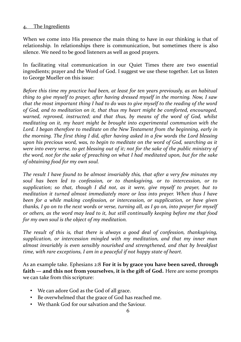## 4. The Ingredients

When we come into His presence the main thing to have in our thinking is that of relationship. In relationships there is communication, but sometimes there is also silence. We need to be good listeners as well as good prayers.

In facilitating vital communication in our Quiet Times there are two essential ingredients; prayer and the Word of God. I suggest we use these together. Let us listen to George Mueller on this issue:

*Before this time my practice had been, at least for ten years previously, as an habitual thing to give myself to prayer, after having dressed myself in the morning. Now, I saw that the most important thing I had to do was to give myself to the reading of the word of God, and to meditation on it, that thus my heart might be comforted, encouraged, warned, reproved, instructed; and that thus, by means of the word of God, whilst meditating on it, my heart might be brought into experimental communion with the Lord. I began therefore to meditate on the New Testament from the beginning, early in the morning. The first thing I did, after having asked in a few words the Lord blessing upon his precious word, was, to begin to meditate on the word of God, searching as it were into every verse, to get blessing out of it; not for the sake of the public ministry of the word, not for the sake of preaching on what I had meditated upon, but for the sake of obtaining food for my own soul.* 

*The result I have found to be almost invariably this, that after a very few minutes my soul has been led to confession, or to thanksgiving, or to intercession, or to supplication; so that, though I did not, as it were, give myself to prayer, but to meditation it turned almost immediately more or less into prayer. When thus I have been for a while making confession, or intercession, or supplication, or have given thanks, I go on to the next words or verse, turning all, as I go on, into prayer for myself or others, as the word may lead to it, but still continually keeping before me that food for my own soul is the object of my meditation.*

*The result of this is, that there is always a good deal of confession, thanksgiving, supplication, or intercession mingled with my meditation, and that my inner man almost invariably is even sensibly nourished and strengthened, and that by breakfast time, with rare exceptions, I am in a peaceful if not happy state of heart.* 

As an example take. Ephesians 2:8 **For it is by grace you have been saved, through faith — and this not from yourselves, it is the gift of God.** Here are some prompts we can take from this scripture:

- We can adore God as the God of all grace.
- Be overwhelmed that the grace of God has reached me.
- We thank God for our salvation and the Saviour.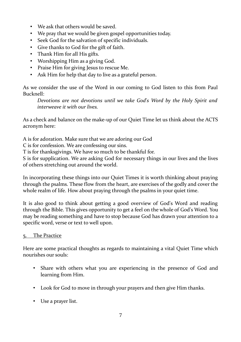- We ask that others would be saved.
- We pray that we would be given gospel opportunities today.
- Seek God for the salvation of specific individuals.
- Give thanks to God for the gift of faith.
- Thank Him for all His gifts.
- Worshipping Him as a giving God.
- Praise Him for giving Jesus to rescue Me.
- Ask Him for help that day to live as a grateful person.

As we consider the use of the Word in our coming to God listen to this from Paul Bucknell:

*Devotions are not devotions until we take God's Word by the Holy Spirit and interweave it with our lives.*

As a check and balance on the make-up of our Quiet Time let us think about the ACTS acronym here:

A is for adoration. Make sure that we are adoring our God

C is for confession. We are confessing our sins.

T is for thanksgivings. We have so much to be thankful for.

S is for supplication. We are asking God for necessary things in our lives and the lives of others stretching out around the world.

In incorporating these things into our Quiet Times it is worth thinking about praying through the psalms. These flow from the heart, are exercises of the godly and cover the whole realm of life. How about praying through the psalms in your quiet time.

It is also good to think about getting a good overview of God's Word and reading through the Bible. This gives opportunity to get a feel on the whole of God's Word. You may be reading something and have to stop because God has drawn your attention to a specific word, verse or text to well upon.

# 5. The Practice

Here are some practical thoughts as regards to maintaining a vital Quiet Time which nourishes our souls:

- Share with others what you are experiencing in the presence of God and learning from Him.
- Look for God to move in through your prayers and then give Him thanks.
- Use a prayer list.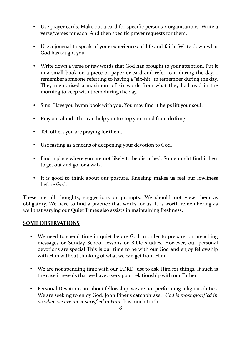- Use prayer cards. Make out a card for specific persons / organisations. Write a verse/verses for each. And then specific prayer requests for them.
- Use a journal to speak of your experiences of life and faith. Write down what God has taught you.
- Write down a verse or few words that God has brought to your attention. Put it in a small book on a piece or paper or card and refer to it during the day. I remember someone referring to having a "six-hit" to remember during the day. They memorised a maximum of six words from what they had read in the morning to keep with them during the day.
- Sing. Have you hymn book with you. You may find it helps lift your soul.
- Pray out aloud. This can help you to stop you mind from drifting.
- Tell others you are praying for them.
- Use fasting as a means of deepening your devotion to God.
- Find a place where you are not likely to be disturbed. Some might find it best to get out and go for a walk.
- It is good to think about our posture. Kneeling makes us feel our lowliness before God.

These are all thoughts, suggestions or prompts. We should not view them as obligatory. We have to find a practice that works for us. It is worth remembering as well that varying our Quiet Times also assists in maintaining freshness.

#### **SOME OBSERVATIONS**

- We need to spend time in quiet before God in order to prepare for preaching messages or Sunday School lessons or Bible studies. However, our personal devotions are special This is our time to be with our God and enjoy fellowship with Him without thinking of what we can get from Him.
- We are not spending time with our LORD just to ask Him for things. If such is the case it reveals that we have a very poor relationship with our Father.
- Personal Devotions are about fellowship; we are not performing religious duties. We are seeking to enjoy God. John Piper's catchphrase: *"God is most glorified in us when we are most satisfied in Him"* has much truth.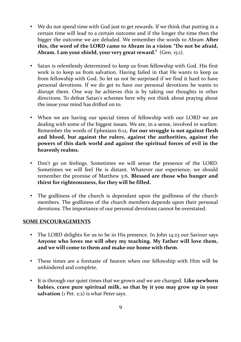- We do not spend time with God just to get rewards. If we think that putting in a certain time will lead to a certain outcome and if the longer the time then the bigger the outcome we are deluded. We remember the words to Abram **After this, the word of the LORD came to Abram in a vision "Do not be afraid, Abram. I am your shield, your very great reward."** (Gen. 15:1).
- Satan is relentlessly determined to keep us from fellowship with God. His first work is to keep us from salvation. Having failed in that He wants to keep us from fellowship with God. So let us not be surprised if we find it hard to have personal devotions. If we do get to have our personal devotions he wants to disrupt them. One way he achieves this is by taking our thoughts in other directions. To defeat Satan's schemes here why not think about praying about the issue your mind has drifted on to.
- When we are having our special times of fellowship with our LORD we are dealing with some of the biggest issues. We are, in a sense, involved in warfare. Remember the words of Ephesians 6:12, **For our struggle is not against flesh and blood, but against the rulers, against the authorities, against the powers of this dark world and against the spiritual forces of evil in the heavenly realms.**
- Don't go on feelings. Sometimes we will sense the presence of the LORD. Sometimes we will feel He is distant. Whatever our experience, we should remember the promise of Matthew 5:6, **Blessed are those who hunger and thirst for righteousness, for they will be filled.**
- The godliness of the church is dependant upon the godliness of the church members. The godliness of the church members depends upon their personal devotions. The importance of our personal devotions cannot be overstated.

#### **SOME ENCOURAGEMENTS**

- The LORD delights for us to be in His presence. In John 14:23 our Saviour says **Anyone who loves me will obey my teaching. My Father will love them, and we will come to them and make our home with them**.
- These times are a foretaste of heaven when our fellowship with Him will be unhindered and complete.
- It is through our quiet times that we grown and we are changed. **Like newborn babies, crave pure spiritual milk, so that by it you may grow up in your** salvation (1 Pet. 2:2) is what Peter says.